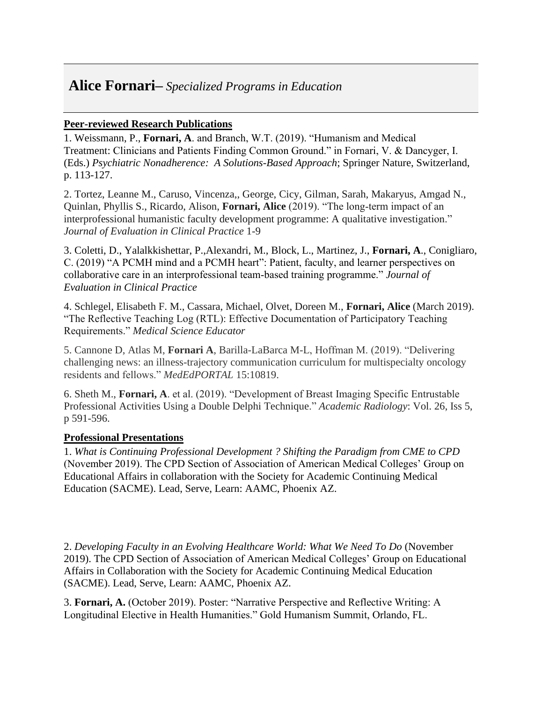## **Alice Fornari–** *Specialized Programs in Education*

## **Peer-reviewed Research Publications**

1. Weissmann, P., **Fornari, A**. and Branch, W.T. (2019). "Humanism and Medical Treatment: Clinicians and Patients Finding Common Ground." in Fornari, V. & Dancyger, I. (Eds.) *Psychiatric Nonadherence: A Solutions-Based Approach*; Springer Nature, Switzerland, p. 113-127.

2. Tortez, Leanne M., Caruso, Vincenza,, George, Cicy, Gilman, Sarah, Makaryus, Amgad N., Quinlan, Phyllis S., Ricardo, Alison, **Fornari, Alice** (2019). "The long‐term impact of an interprofessional humanistic faculty development programme: A qualitative investigation." *Journal of Evaluation in Clinical Practice* 1-9

3. Coletti, D., Yalalkkishettar, P.,Alexandri, M., Block, L., Martinez, J., **Fornari, A**., Conigliaro, C. (2019) "A PCMH mind and a PCMH heart": Patient, faculty, and learner perspectives on collaborative care in an interprofessional team‐based training programme." *Journal of Evaluation in Clinical Practice* 

4. Schlegel, Elisabeth F. M., Cassara, Michael, Olvet, Doreen M., **Fornari, Alice** (March 2019). "The Reflective Teaching Log (RTL): Effective Documentation of Participatory Teaching Requirements." *Medical Science Educator* 

5. Cannone D, Atlas M, **Fornari A**, Barilla-LaBarca M-L, Hoffman M. (2019). "Delivering challenging news: an illness-trajectory communication curriculum for multispecialty oncology residents and fellows." *MedEdPORTAL* 15:10819.

6. Sheth M., **Fornari, A**. et al. (2019). "Development of Breast Imaging Specific Entrustable Professional Activities Using a Double Delphi Technique." *Academic Radiology*: Vol. 26, Iss 5, p 591-596.

## **Professional Presentations**

1. *What is Continuing Professional Development ? Shifting the Paradigm from CME to CPD*  (November 2019). The CPD Section of Association of American Medical Colleges' Group on Educational Affairs in collaboration with the Society for Academic Continuing Medical Education (SACME). Lead, Serve, Learn: AAMC, Phoenix AZ.

2. *Developing Faculty in an Evolving Healthcare World: What We Need To Do* (November 2019). The CPD Section of Association of American Medical Colleges' Group on Educational Affairs in Collaboration with the Society for Academic Continuing Medical Education (SACME). Lead, Serve, Learn: AAMC, Phoenix AZ.

3. **Fornari, A.** (October 2019). Poster: "Narrative Perspective and Reflective Writing: A Longitudinal Elective in Health Humanities." Gold Humanism Summit, Orlando, FL.